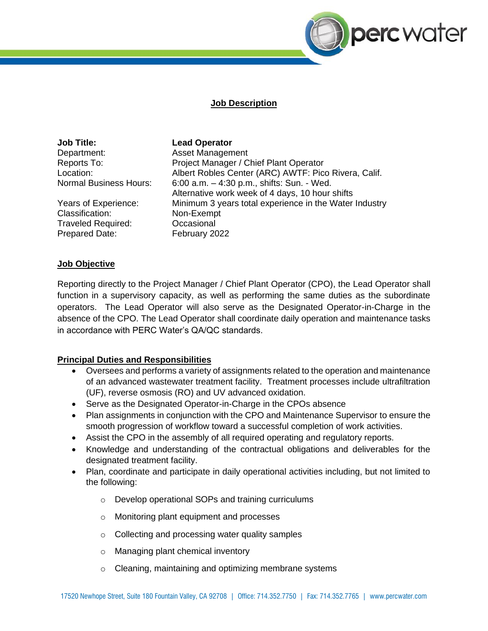

## **Job Description**

**Job Title: Lead Operator**  Department: Asset Management

Classification: Non-Exempt Traveled Required: Occasional Prepared Date: February 2022

Reports To: Project Manager / Chief Plant Operator Location: Albert Robles Center (ARC) AWTF: Pico Rivera, Calif. Normal Business Hours: 6:00 a.m. – 4:30 p.m., shifts: Sun. - Wed. Alternative work week of 4 days, 10 hour shifts Years of Experience: Minimum 3 years total experience in the Water Industry

## **Job Objective**

Reporting directly to the Project Manager / Chief Plant Operator (CPO), the Lead Operator shall function in a supervisory capacity, as well as performing the same duties as the subordinate operators. The Lead Operator will also serve as the Designated Operator-in-Charge in the absence of the CPO. The Lead Operator shall coordinate daily operation and maintenance tasks in accordance with PERC Water's QA/QC standards.

# **Principal Duties and Responsibilities**

- Oversees and performs a variety of assignments related to the operation and maintenance of an advanced wastewater treatment facility. Treatment processes include ultrafiltration (UF), reverse osmosis (RO) and UV advanced oxidation.
- Serve as the Designated Operator-in-Charge in the CPOs absence
- Plan assignments in conjunction with the CPO and Maintenance Supervisor to ensure the smooth progression of workflow toward a successful completion of work activities.
- Assist the CPO in the assembly of all required operating and regulatory reports.
- Knowledge and understanding of the contractual obligations and deliverables for the designated treatment facility.
- Plan, coordinate and participate in daily operational activities including, but not limited to the following:
	- o Develop operational SOPs and training curriculums
	- o Monitoring plant equipment and processes
	- o Collecting and processing water quality samples
	- o Managing plant chemical inventory
	- o Cleaning, maintaining and optimizing membrane systems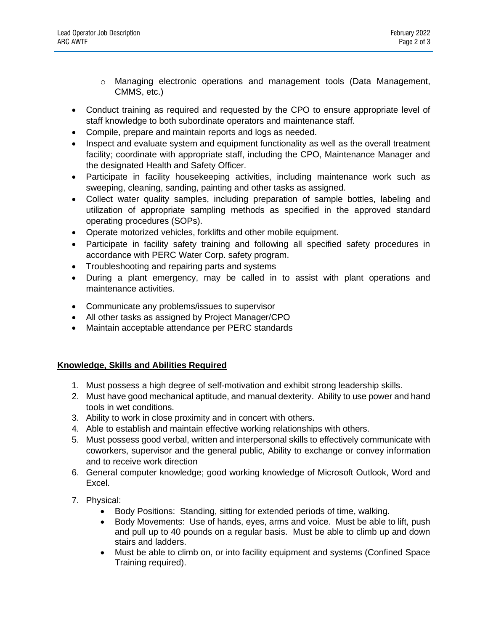- o Managing electronic operations and management tools (Data Management, CMMS, etc.)
- Conduct training as required and requested by the CPO to ensure appropriate level of staff knowledge to both subordinate operators and maintenance staff.
- Compile, prepare and maintain reports and logs as needed.
- Inspect and evaluate system and equipment functionality as well as the overall treatment facility; coordinate with appropriate staff, including the CPO, Maintenance Manager and the designated Health and Safety Officer.
- Participate in facility housekeeping activities, including maintenance work such as sweeping, cleaning, sanding, painting and other tasks as assigned.
- Collect water quality samples, including preparation of sample bottles, labeling and utilization of appropriate sampling methods as specified in the approved standard operating procedures (SOPs).
- Operate motorized vehicles, forklifts and other mobile equipment.
- Participate in facility safety training and following all specified safety procedures in accordance with PERC Water Corp. safety program.
- Troubleshooting and repairing parts and systems
- During a plant emergency, may be called in to assist with plant operations and maintenance activities.
- Communicate any problems/issues to supervisor
- All other tasks as assigned by Project Manager/CPO
- Maintain acceptable attendance per PERC standards

# **Knowledge, Skills and Abilities Required**

- 1. Must possess a high degree of self-motivation and exhibit strong leadership skills.
- 2. Must have good mechanical aptitude, and manual dexterity. Ability to use power and hand tools in wet conditions.
- 3. Ability to work in close proximity and in concert with others.
- 4. Able to establish and maintain effective working relationships with others.
- 5. Must possess good verbal, written and interpersonal skills to effectively communicate with coworkers, supervisor and the general public, Ability to exchange or convey information and to receive work direction
- 6. General computer knowledge; good working knowledge of Microsoft Outlook, Word and Excel.
- 7. Physical:
	- Body Positions: Standing, sitting for extended periods of time, walking.
	- Body Movements: Use of hands, eyes, arms and voice. Must be able to lift, push and pull up to 40 pounds on a regular basis. Must be able to climb up and down stairs and ladders.
	- Must be able to climb on, or into facility equipment and systems (Confined Space Training required).